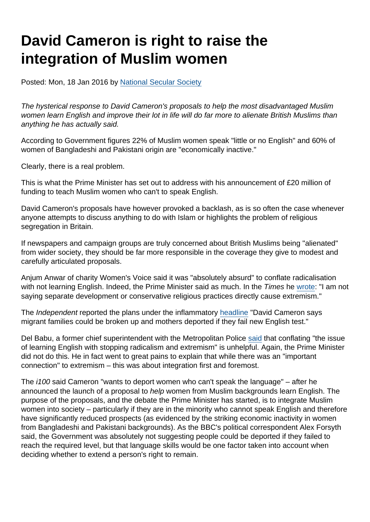## David Cameron is right to raise the integration of Muslim women

Posted: Mon, 18 Jan 2016 by [National Secular Society](https://www.secularism.org.uk/opinion/authors/855)

The hysterical response to David Cameron's proposals to help the most disadvantaged Muslim women learn English and improve their lot in life will do far more to alienate British Muslims than anything he has actually said.

According to Government figures 22% of Muslim women speak "little or no English" and 60% of women of Bangladeshi and Pakistani origin are "economically inactive."

Clearly, there is a real problem.

This is what the Prime Minister has set out to address with his announcement of £20 million of funding to teach Muslim women who can't to speak English.

David Cameron's proposals have however provoked a backlash, as is so often the case whenever anyone attempts to discuss anything to do with Islam or highlights the problem of religious segregation in Britain.

If newspapers and campaign groups are truly concerned about British Muslims being "alienated" from wider society, they should be far more responsible in the coverage they give to modest and carefully articulated proposals.

Anjum Anwar of charity Women's Voice said it was "absolutely absurd" to conflate radicalisation with not learning English. Indeed, the Prime Minister said as much. In the Times he [wrote:](http://www.thetimes.co.uk/tto/opinion/columnists/article4667764.ece) "I am not saying separate development or conservative religious practices directly cause extremism."

The Independent reported the plans under the inflammatory [headline](http://www.independent.co.uk/news/uk/politics/david-cameron-says-migrant-families-could-be-broken-up-and-mothers-deported-if-they-fail-new-english-a6818631.html) "David Cameron says migrant families could be broken up and mothers deported if they fail new English test."

Del Babu, a former chief superintendent with the Metropolitan Police [said](http://www.bbc.co.uk/news/uk-35338413) that conflating "the issue of learning English with stopping radicalism and extremism" is unhelpful. Again, the Prime Minister did not do this. He in fact went to great pains to explain that while there was an "important connection" to extremism – this was about integration first and foremost.

The i100 said Cameron "wants to deport women who can't speak the language" – after he announced the launch of a proposal to help women from Muslim backgrounds learn English. The purpose of the proposals, and the debate the Prime Minister has started, is to integrate Muslim women into society – particularly if they are in the minority who cannot speak English and therefore have significantly reduced prospects (as evidenced by the striking economic inactivity in women from Bangladeshi and Pakistani backgrounds). As the BBC's political correspondent Alex Forsyth said, the Government was absolutely not suggesting people could be deported if they failed to reach the required level, but that language skills would be one factor taken into account when deciding whether to extend a person's right to remain.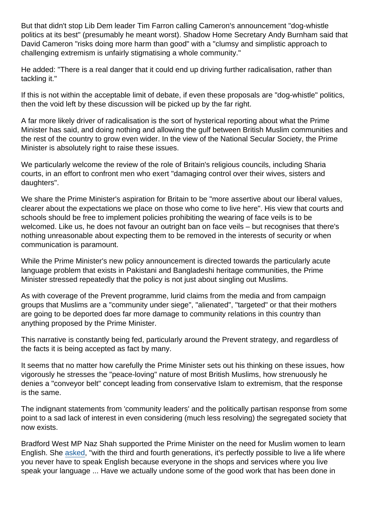But that didn't stop Lib Dem leader Tim Farron calling Cameron's announcement "dog-whistle politics at its best" (presumably he meant worst). Shadow Home Secretary Andy Burnham said that David Cameron "risks doing more harm than good" with a "clumsy and simplistic approach to challenging extremism is unfairly stigmatising a whole community."

He added: "There is a real danger that it could end up driving further radicalisation, rather than tackling it."

If this is not within the acceptable limit of debate, if even these proposals are "dog-whistle" politics, then the void left by these discussion will be picked up by the far right.

A far more likely driver of radicalisation is the sort of hysterical reporting about what the Prime Minister has said, and doing nothing and allowing the gulf between British Muslim communities and the rest of the country to grow even wider. In the view of the National Secular Society, the Prime Minister is absolutely right to raise these issues.

We particularly welcome the review of the role of Britain's religious councils, including Sharia courts, in an effort to confront men who exert "damaging control over their wives, sisters and daughters".

We share the Prime Minister's aspiration for Britain to be "more assertive about our liberal values, clearer about the expectations we place on those who come to live here". His view that courts and schools should be free to implement policies prohibiting the wearing of face veils is to be welcomed. Like us, he does not favour an outright ban on face veils – but recognises that there's nothing unreasonable about expecting them to be removed in the interests of security or when communication is paramount.

While the Prime Minister's new policy announcement is directed towards the particularly acute language problem that exists in Pakistani and Bangladeshi heritage communities, the Prime Minister stressed repeatedly that the policy is not just about singling out Muslims.

As with coverage of the Prevent programme, lurid claims from the media and from campaign groups that Muslims are a "community under siege", "alienated", "targeted" or that their mothers are going to be deported does far more damage to community relations in this country than anything proposed by the Prime Minister.

This narrative is constantly being fed, particularly around the Prevent strategy, and regardless of the facts it is being accepted as fact by many.

It seems that no matter how carefully the Prime Minister sets out his thinking on these issues, how vigorously he stresses the "peace-loving" nature of most British Muslims, how strenuously he denies a "conveyor belt" concept leading from conservative Islam to extremism, that the response is the same.

The indignant statements from 'community leaders' and the politically partisan response from some point to a sad lack of interest in even considering (much less resolving) the segregated society that now exists.

Bradford West MP Naz Shah supported the Prime Minister on the need for Muslim women to learn English. She [asked,](http://www.theguardian.com/politics/blog/live/2016/jan/18/david-camerons-today-interview-politics-live) "with the third and fourth generations, it's perfectly possible to live a life where you never have to speak English because everyone in the shops and services where you live speak your language ... Have we actually undone some of the good work that has been done in